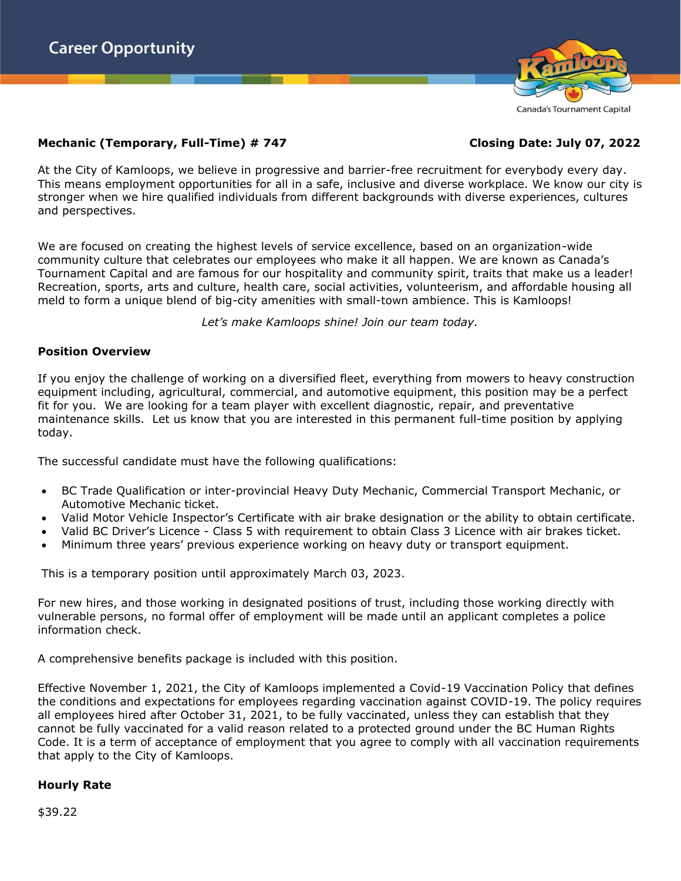

At the City of Kamloops, we believe in progressive and barrier-free recruitment for everybody every day. This means employment opportunities for all in a safe, inclusive and diverse workplace. We know our city is stronger when we hire qualified individuals from different backgrounds with diverse experiences, cultures and perspectives.

We are focused on creating the highest levels of service excellence, based on an organization-wide community culture that celebrates our employees who make it all happen. We are known as Canada's Tournament Capital and are famous for our hospitality and community spirit, traits that make us a leader! Recreation, sports, arts and culture, health care, social activities, volunteerism, and affordable housing all meld to form a unique blend of big-city amenities with small-town ambience. This is Kamloops!

*Let's make Kamloops shine! Join our team today.*

## **Position Overview**

If you enjoy the challenge of working on a diversified fleet, everything from mowers to heavy construction equipment including, agricultural, commercial, and automotive equipment, this position may be a perfect fit for you. We are looking for a team player with excellent diagnostic, repair, and preventative maintenance skills. Let us know that you are interested in this permanent full-time position by applying today.

The successful candidate must have the following qualifications:

- BC Trade Qualification or inter-provincial Heavy Duty Mechanic, Commercial Transport Mechanic, or Automotive Mechanic ticket.
- Valid Motor Vehicle Inspector's Certificate with air brake designation or the ability to obtain certificate.
- Valid BC Driver's Licence Class 5 with requirement to obtain Class 3 Licence with air brakes ticket.
- Minimum three years' previous experience working on heavy duty or transport equipment.

This is a temporary position until approximately March 03, 2023.

For new hires, and those working in designated positions of trust, including those working directly with vulnerable persons, no formal offer of employment will be made until an applicant completes a police information check.

A comprehensive benefits package is included with this position.

Effective November 1, 2021, the City of Kamloops implemented a Covid-19 Vaccination Policy that defines the conditions and expectations for employees regarding vaccination against COVID-19. The policy requires all employees hired after October 31, 2021, to be fully vaccinated, unless they can establish that they cannot be fully vaccinated for a valid reason related to a protected ground under the BC Human Rights Code. It is a term of acceptance of employment that you agree to comply with all vaccination requirements that apply to the City of Kamloops.

## **Hourly Rate**

\$39.22